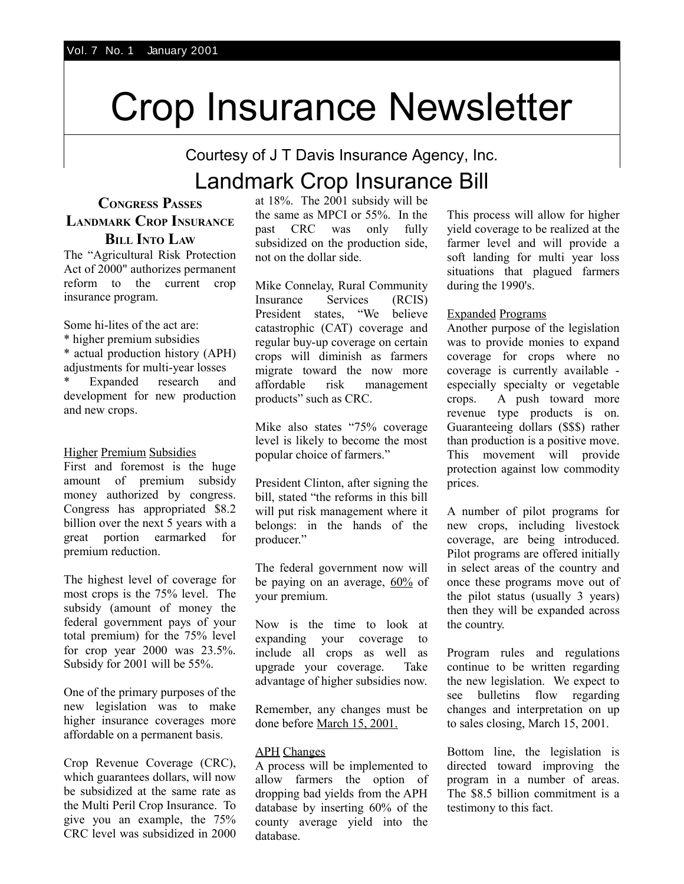# Crop Insurance Newsletter

Courtesy of J T Davis Insurance Agency, Inc.

# Landmark Crop Insurance Bill

#### **CONGRESS PASSES LANDMARK CROP INSURANCE BILL INTO LAW**

The "Agricultural Risk Protection Act of 2000" authorizes permanent reform to the current crop insurance program.

Some hi-lites of the act are:

\* higher premium subsidies

\* actual production history (APH) adjustments for multi-year losses Expanded research and development for new production and new crops.

#### Higher Premium Subsidies

First and foremost is the huge amount of premium subsidy money authorized by congress. Congress has appropriated \$8.2 billion over the next 5 years with a great portion earmarked for premium reduction.

The highest level of coverage for most crops is the 75% level. The subsidy (amount of money the federal government pays of your total premium) for the 75% level for crop year 2000 was 23.5%. Subsidy for 2001 will be 55%.

One of the primary purposes of the new legislation was to make higher insurance coverages more affordable on a permanent basis.

Crop Revenue Coverage (CRC), which guarantees dollars, will now be subsidized at the same rate as the Multi Peril Crop Insurance. To give you an example, the 75% CRC level was subsidized in 2000 at 18%. The 2001 subsidy will be the same as MPCI or 55%. In the past CRC was only fully subsidized on the production side, not on the dollar side.

Mike Connelay, Rural Community Insurance Services (RCIS) President states, "We believe catastrophic (CAT) coverage and regular buy-up coverage on certain crops will diminish as farmers migrate toward the now more affordable risk management products" such as CRC.

Mike also states "75% coverage level is likely to become the most popular choice of farmers."

President Clinton, after signing the bill, stated "the reforms in this bill will put risk management where it belongs: in the hands of the producer."

The federal government now will be paying on an average,  $60\%$  of your premium.

Now is the time to look at expanding your coverage to include all crops as well as upgrade your coverage. Take advantage of higher subsidies now.

Remember, any changes must be done before March 15, 2001.

#### APH Changes

A process will be implemented to allow farmers the option of dropping bad yields from the APH database by inserting 60% of the county average yield into the database.

This process will allow for higher yield coverage to be realized at the farmer level and will provide a soft landing for multi year loss situations that plagued farmers during the 1990's.

#### Expanded Programs

Another purpose of the legislation was to provide monies to expand coverage for crops where no coverage is currently available especially specialty or vegetable crops. A push toward more revenue type products is on. Guaranteeing dollars (\$\$\$) rather than production is a positive move. This movement will provide protection against low commodity prices.

A number of pilot programs for new crops, including livestock coverage, are being introduced. Pilot programs are offered initially in select areas of the country and once these programs move out of the pilot status (usually 3 years) then they will be expanded across the country.

Program rules and regulations continue to be written regarding the new legislation. We expect to see bulletins flow regarding changes and interpretation on up to sales closing, March 15, 2001.

Bottom line, the legislation is directed toward improving the program in a number of areas. The \$8.5 billion commitment is a testimony to this fact.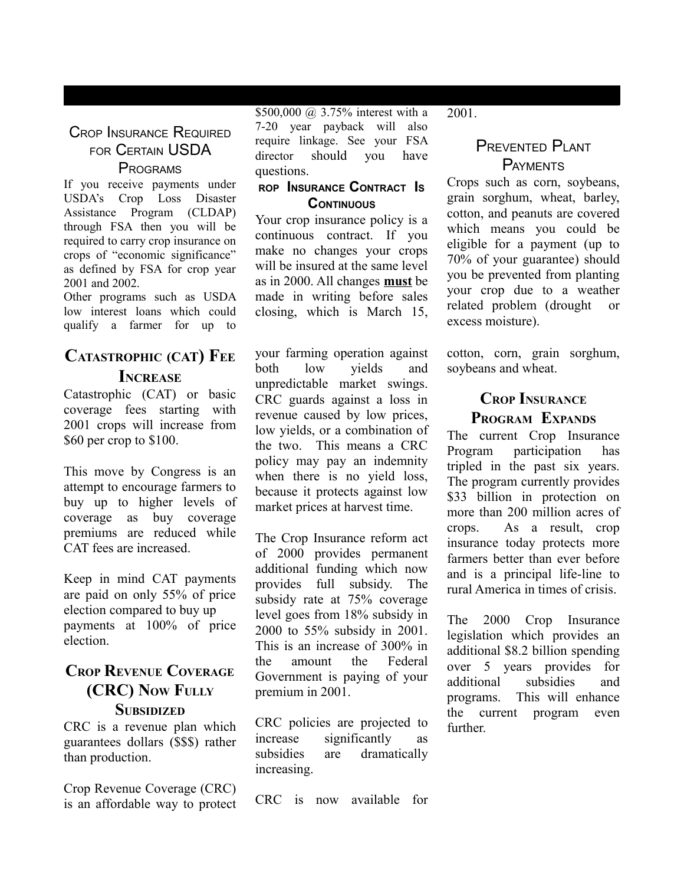#### CROP INSURANCE REQUIRED FOR CERTAIN USDA PROGRAMS

If you receive payments under USDA's Crop Loss Disaster Assistance Program (CLDAP) through FSA then you will be required to carry crop insurance on crops of "economic significance" as defined by FSA for crop year 2001 and 2002.

Other programs such as USDA low interest loans which could qualify a farmer for up to

# **CATASTROPHIC (CAT) FEE INCREASE**

Catastrophic (CAT) or basic coverage fees starting with 2001 crops will increase from \$60 per crop to \$100.

This move by Congress is an attempt to encourage farmers to buy up to higher levels of coverage as buy coverage premiums are reduced while CAT fees are increased.

Keep in mind CAT payments are paid on only 55% of price election compared to buy up payments at 100% of price election.

#### **CROP REVENUE COVERAGE (CRC) NOW FULLY SUBSIDIZED**

CRC is a revenue plan which guarantees dollars (\$\$\$) rather than production.

Crop Revenue Coverage (CRC) is an affordable way to protect \$500,000 @ 3.75% interest with a 7-20 year payback will also require linkage. See your FSA director should you have questions.

#### **ROP INSURANCE CONTRACT I<sup>S</sup> CONTINUOUS**

Your crop insurance policy is a continuous contract. If you make no changes your crops will be insured at the same level as in 2000. All changes **must** be made in writing before sales closing, which is March 15,

your farming operation against both low yields and unpredictable market swings. CRC guards against a loss in revenue caused by low prices, low yields, or a combination of the two. This means a CRC policy may pay an indemnity when there is no yield loss, because it protects against low market prices at harvest time.

The Crop Insurance reform act of 2000 provides permanent additional funding which now provides full subsidy. The subsidy rate at 75% coverage level goes from 18% subsidy in 2000 to 55% subsidy in 2001. This is an increase of 300% in the amount the Federal Government is paying of your premium in 2001.

CRC policies are projected to increase significantly as subsidies are dramatically increasing.

CRC is now available for

2001.

### PREVENTED PLANT **PAYMENTS**

Crops such as corn, soybeans, grain sorghum, wheat, barley, cotton, and peanuts are covered which means you could be eligible for a payment (up to 70% of your guarantee) should you be prevented from planting your crop due to a weather related problem (drought or excess moisture).

cotton, corn, grain sorghum, soybeans and wheat.

## **CROP INSURANCE PROGRAM EXPANDS**

The current Crop Insurance Program participation has tripled in the past six years. The program currently provides \$33 billion in protection on more than 200 million acres of crops. As a result, crop insurance today protects more farmers better than ever before and is a principal life-line to rural America in times of crisis.

The 2000 Crop Insurance legislation which provides an additional \$8.2 billion spending over 5 years provides for additional subsidies and programs. This will enhance the current program even further.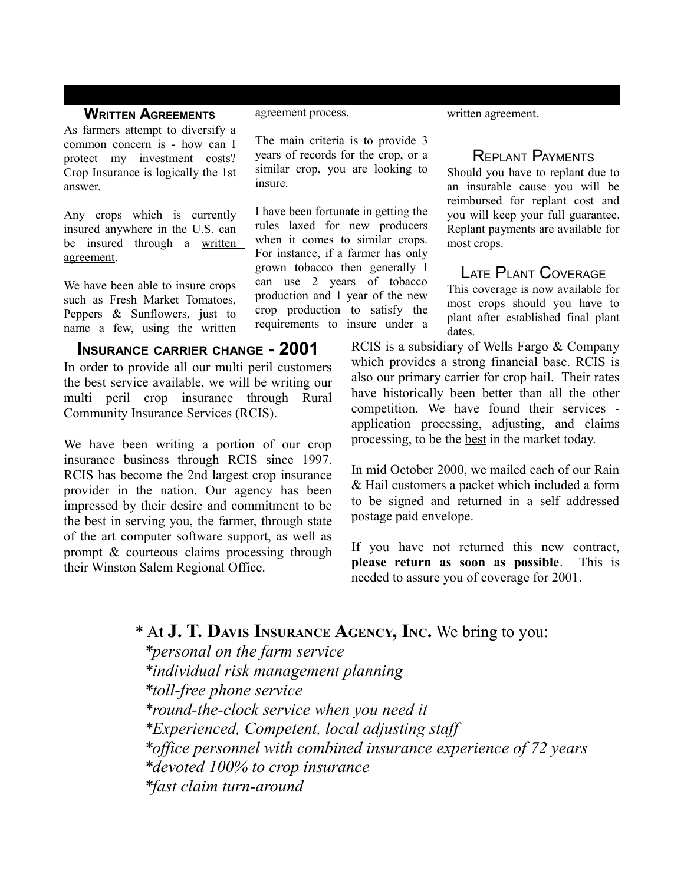#### **WRITTEN AGREEMENTS**

As farmers attempt to diversify a common concern is - how can I protect my investment costs? Crop Insurance is logically the 1st answer.

Any crops which is currently insured anywhere in the U.S. can be insured through a written agreement.

We have been able to insure crops such as Fresh Market Tomatoes, Peppers & Sunflowers, just to name a few, using the written

#### **INSURANCE CARRIER CHANGE - 2001**

In order to provide all our multi peril customers the best service available, we will be writing our multi peril crop insurance through Rural Community Insurance Services (RCIS).

We have been writing a portion of our crop insurance business through RCIS since 1997. RCIS has become the 2nd largest crop insurance provider in the nation. Our agency has been impressed by their desire and commitment to be the best in serving you, the farmer, through state of the art computer software support, as well as prompt & courteous claims processing through their Winston Salem Regional Office.

agreement process.

The main criteria is to provide 3 years of records for the crop, or a similar crop, you are looking to insure.

I have been fortunate in getting the rules laxed for new producers when it comes to similar crops. For instance, if a farmer has only grown tobacco then generally I can use 2 years of tobacco production and 1 year of the new crop production to satisfy the requirements to insure under a written agreement.

#### REPLANT PAYMENTS

Should you have to replant due to an insurable cause you will be reimbursed for replant cost and you will keep your full guarantee. Replant payments are available for most crops.

## LATE PLANT COVERAGE

This coverage is now available for most crops should you have to plant after established final plant dates.

RCIS is a subsidiary of Wells Fargo & Company which provides a strong financial base. RCIS is also our primary carrier for crop hail. Their rates have historically been better than all the other competition. We have found their services application processing, adjusting, and claims processing, to be the best in the market today.

In mid October 2000, we mailed each of our Rain & Hail customers a packet which included a form to be signed and returned in a self addressed postage paid envelope.

If you have not returned this new contract, **please return as soon as possible**. This is needed to assure you of coverage for 2001.

# \* At **J. T. DAVIS INSURANCE AGENCY, INC.** We bring to you:

*\*personal on the farm service \*individual risk management planning \*toll-free phone service \*round-the-clock service when you need it \*Experienced, Competent, local adjusting staff \*office personnel with combined insurance experience of 72 years \*devoted 100% to crop insurance \*fast claim turn-around*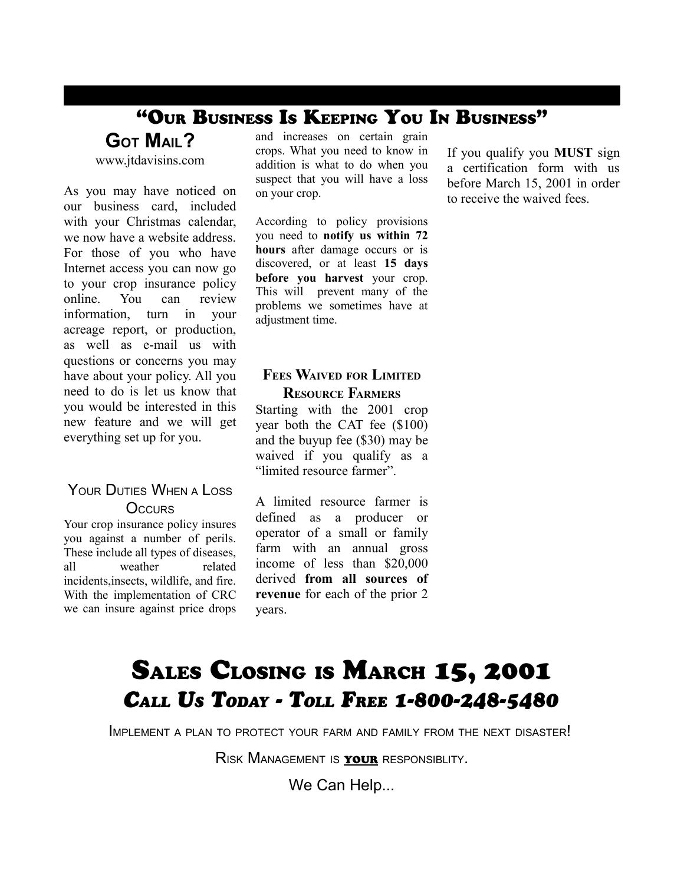# "OUR BUSINESS IS KEEPING YOU IN BUSINESS"

**GOT MAIL?**

www.jtdavisins.com

As you may have noticed on our business card, included with your Christmas calendar, we now have a website address. For those of you who have Internet access you can now go to your crop insurance policy online. You can review information, turn in your acreage report, or production, as well as e-mail us with questions or concerns you may have about your policy. All you need to do is let us know that you would be interested in this new feature and we will get everything set up for you.

#### YOUR DUTIES WHEN A LOSS **OCCURS**

Your crop insurance policy insures you against a number of perils. These include all types of diseases, all weather related incidents,insects, wildlife, and fire. With the implementation of CRC we can insure against price drops and increases on certain grain crops. What you need to know in addition is what to do when you suspect that you will have a loss on your crop.

According to policy provisions you need to **notify us within 72 hours** after damage occurs or is discovered, or at least **15 days before you harvest** your crop. This will prevent many of the problems we sometimes have at adjustment time.

#### **FEES WAIVED FOR LIMITED RESOURCE FARMERS**

Starting with the 2001 crop year both the CAT fee (\$100) and the buyup fee (\$30) may be waived if you qualify as a "limited resource farmer".

A limited resource farmer is defined as a producer or operator of a small or family farm with an annual gross income of less than \$20,000 derived **from all sources of revenue** for each of the prior 2 years.

If you qualify you **MUST** sign a certification form with us before March 15, 2001 in order to receive the waived fees.

# SALES CLOSING IS MARCH 15, 2001 *CALL US TODAY - TOLL FREE 1-800-248-5480*

IMPLEMENT <sup>A</sup> PLAN TO PROTECT YOUR FARM AND FAMILY FROM THE NEXT DISASTER!

RISK MANAGEMENT IS YOUR RESPONSIBLITY.

We Can Help...